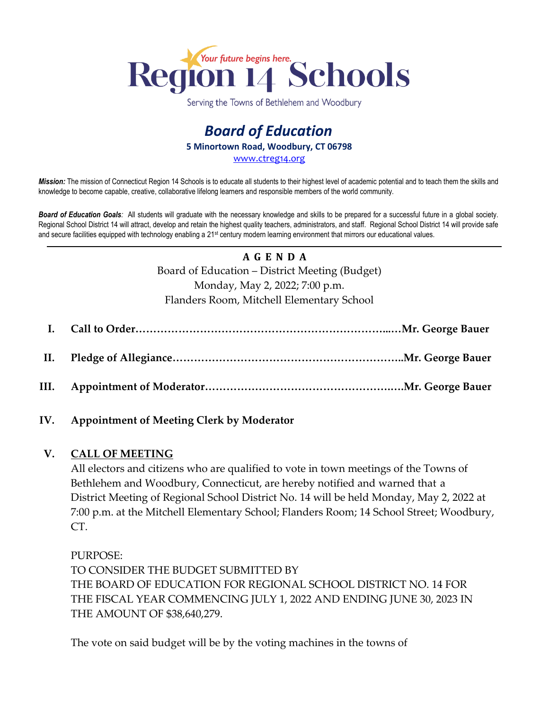

Serving the Towns of Bethlehem and Woodbury

# *Board of Education* **5 Minortown Road, Woodbury, CT 06798** [www.ctreg14.org](http://www.ctreg14.org/)

*Mission:* The mission of Connecticut Region 14 Schools is to educate all students to their highest level of academic potential and to teach them the skills and knowledge to become capable, creative, collaborative lifelong learners and responsible members of the world community.

*Board of Education Goals:* All students will graduate with the necessary knowledge and skills to be prepared for a successful future in a global society. Regional School District 14 will attract, develop and retain the highest quality teachers, administrators, and staff. Regional School District 14 will provide safe and secure facilities equipped with technology enabling a 21<sup>st</sup> century modern learning environment that mirrors our educational values.

# **A G E N D A** Board of Education – District Meeting (Budget) Monday, May 2, 2022; 7:00 p.m. Flanders Room, Mitchell Elementary School

### **IV. Appointment of Meeting Clerk by Moderator**

### **V. CALL OF MEETING**

All electors and citizens who are qualified to vote in town meetings of the Towns of Bethlehem and Woodbury, Connecticut, are hereby notified and warned that a District Meeting of Regional School District No. 14 will be held Monday, May 2, 2022 at 7:00 p.m. at the Mitchell Elementary School; Flanders Room; 14 School Street; Woodbury, CT.

PURPOSE: TO CONSIDER THE BUDGET SUBMITTED BY THE BOARD OF EDUCATION FOR REGIONAL SCHOOL DISTRICT NO. 14 FOR THE FISCAL YEAR COMMENCING JULY 1, 2022 AND ENDING JUNE 30, 2023 IN THE AMOUNT OF \$38,640,279.

The vote on said budget will be by the voting machines in the towns of